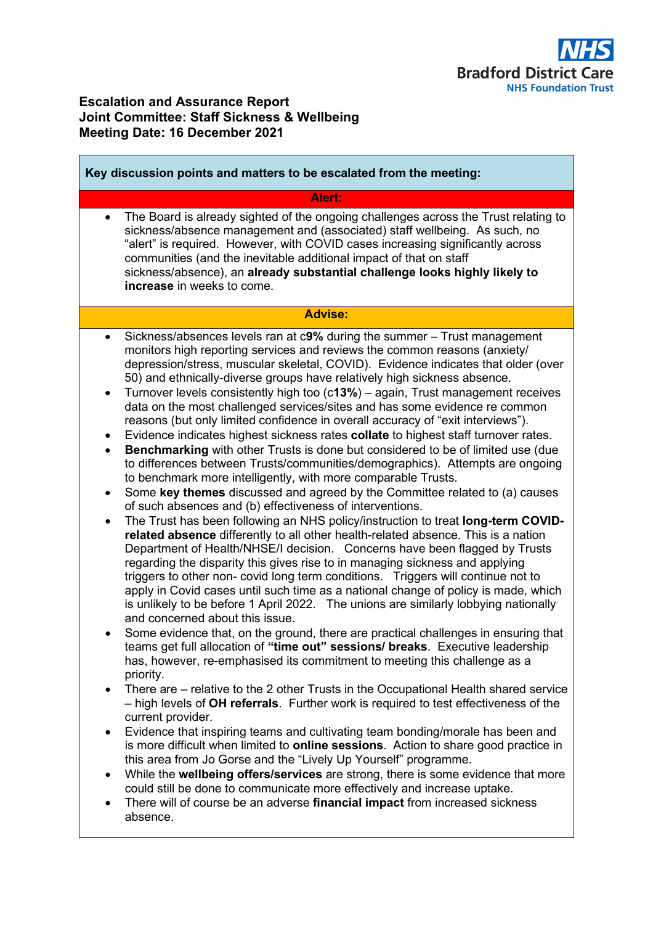

# **Escalation and Assurance Report Joint Committee: Staff Sickness & Wellbeing Meeting Date: 16 December 2021**

| Key discussion points and matters to be escalated from the meeting:                                                                                                                                                                                                                                                                                                                                                                                                                                                                                                                                                                                                                                                                                                                                                                                                                                                                                                                                                                                                                                                                                                                                                                                                                                                                                                                                                                                                                                                                                                                                                                                                                                                                                                                                                                                                                                                                                                                                                                                                                                                                                                                                                                                                                                                                                                                                                                                                                                                                                                                                                                                                                                                                                                                                         |
|-------------------------------------------------------------------------------------------------------------------------------------------------------------------------------------------------------------------------------------------------------------------------------------------------------------------------------------------------------------------------------------------------------------------------------------------------------------------------------------------------------------------------------------------------------------------------------------------------------------------------------------------------------------------------------------------------------------------------------------------------------------------------------------------------------------------------------------------------------------------------------------------------------------------------------------------------------------------------------------------------------------------------------------------------------------------------------------------------------------------------------------------------------------------------------------------------------------------------------------------------------------------------------------------------------------------------------------------------------------------------------------------------------------------------------------------------------------------------------------------------------------------------------------------------------------------------------------------------------------------------------------------------------------------------------------------------------------------------------------------------------------------------------------------------------------------------------------------------------------------------------------------------------------------------------------------------------------------------------------------------------------------------------------------------------------------------------------------------------------------------------------------------------------------------------------------------------------------------------------------------------------------------------------------------------------------------------------------------------------------------------------------------------------------------------------------------------------------------------------------------------------------------------------------------------------------------------------------------------------------------------------------------------------------------------------------------------------------------------------------------------------------------------------------------------------|
| Alert:                                                                                                                                                                                                                                                                                                                                                                                                                                                                                                                                                                                                                                                                                                                                                                                                                                                                                                                                                                                                                                                                                                                                                                                                                                                                                                                                                                                                                                                                                                                                                                                                                                                                                                                                                                                                                                                                                                                                                                                                                                                                                                                                                                                                                                                                                                                                                                                                                                                                                                                                                                                                                                                                                                                                                                                                      |
| The Board is already sighted of the ongoing challenges across the Trust relating to<br>$\bullet$<br>sickness/absence management and (associated) staff wellbeing. As such, no<br>"alert" is required. However, with COVID cases increasing significantly across<br>communities (and the inevitable additional impact of that on staff<br>sickness/absence), an already substantial challenge looks highly likely to<br>increase in weeks to come.                                                                                                                                                                                                                                                                                                                                                                                                                                                                                                                                                                                                                                                                                                                                                                                                                                                                                                                                                                                                                                                                                                                                                                                                                                                                                                                                                                                                                                                                                                                                                                                                                                                                                                                                                                                                                                                                                                                                                                                                                                                                                                                                                                                                                                                                                                                                                           |
| <b>Advise:</b>                                                                                                                                                                                                                                                                                                                                                                                                                                                                                                                                                                                                                                                                                                                                                                                                                                                                                                                                                                                                                                                                                                                                                                                                                                                                                                                                                                                                                                                                                                                                                                                                                                                                                                                                                                                                                                                                                                                                                                                                                                                                                                                                                                                                                                                                                                                                                                                                                                                                                                                                                                                                                                                                                                                                                                                              |
| Sickness/absences levels ran at c9% during the summer - Trust management<br>$\bullet$<br>monitors high reporting services and reviews the common reasons (anxiety/<br>depression/stress, muscular skeletal, COVID). Evidence indicates that older (over<br>50) and ethnically-diverse groups have relatively high sickness absence.<br>Turnover levels consistently high too (c13%) - again, Trust management receives<br>$\bullet$<br>data on the most challenged services/sites and has some evidence re common<br>reasons (but only limited confidence in overall accuracy of "exit interviews").<br>Evidence indicates highest sickness rates collate to highest staff turnover rates.<br>$\bullet$<br>Benchmarking with other Trusts is done but considered to be of limited use (due<br>$\bullet$<br>to differences between Trusts/communities/demographics). Attempts are ongoing<br>to benchmark more intelligently, with more comparable Trusts.<br>Some key themes discussed and agreed by the Committee related to (a) causes<br>$\bullet$<br>of such absences and (b) effectiveness of interventions.<br>The Trust has been following an NHS policy/instruction to treat long-term COVID-<br>$\bullet$<br>related absence differently to all other health-related absence. This is a nation<br>Department of Health/NHSE/I decision. Concerns have been flagged by Trusts<br>regarding the disparity this gives rise to in managing sickness and applying<br>triggers to other non- covid long term conditions. Triggers will continue not to<br>apply in Covid cases until such time as a national change of policy is made, which<br>is unlikely to be before 1 April 2022. The unions are similarly lobbying nationally<br>and concerned about this issue.<br>Some evidence that, on the ground, there are practical challenges in ensuring that<br>teams get full allocation of "time out" sessions/ breaks. Executive leadership<br>has, however, re-emphasised its commitment to meeting this challenge as a<br>priority.<br>There are – relative to the 2 other Trusts in the Occupational Health shared service<br>$\bullet$<br>- high levels of OH referrals. Further work is required to test effectiveness of the<br>current provider.<br>Evidence that inspiring teams and cultivating team bonding/morale has been and<br>٠<br>is more difficult when limited to <b>online sessions</b> . Action to share good practice in<br>this area from Jo Gorse and the "Lively Up Yourself" programme.<br>While the wellbeing offers/services are strong, there is some evidence that more<br>$\bullet$<br>could still be done to communicate more effectively and increase uptake.<br>There will of course be an adverse financial impact from increased sickness<br>$\bullet$<br>absence. |